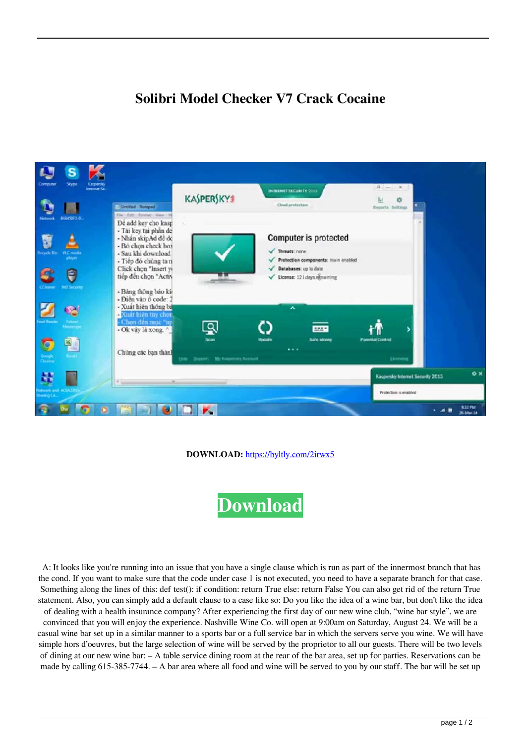## **Solibri Model Checker V7 Crack Cocaine**



**DOWNLOAD:** <https://byltly.com/2irwx5>

**[Download](https://byltly.com/2irwx5)**

 A: It looks like you're running into an issue that you have a single clause which is run as part of the innermost branch that has the cond. If you want to make sure that the code under case 1 is not executed, you need to have a separate branch for that case. Something along the lines of this: def test(): if condition: return True else: return False You can also get rid of the return True statement. Also, you can simply add a default clause to a case like so: Do you like the idea of a wine bar, but don't like the idea of dealing with a health insurance company? After experiencing the first day of our new wine club, "wine bar style", we are

convinced that you will enjoy the experience. Nashville Wine Co. will open at 9:00am on Saturday, August 24. We will be a casual wine bar set up in a similar manner to a sports bar or a full service bar in which the servers serve you wine. We will have simple hors d'oeuvres, but the large selection of wine will be served by the proprietor to all our guests. There will be two levels of dining at our new wine bar: – A table service dining room at the rear of the bar area, set up for parties. Reservations can be made by calling 615-385-7744. – A bar area where all food and wine will be served to you by our staff. The bar will be set up